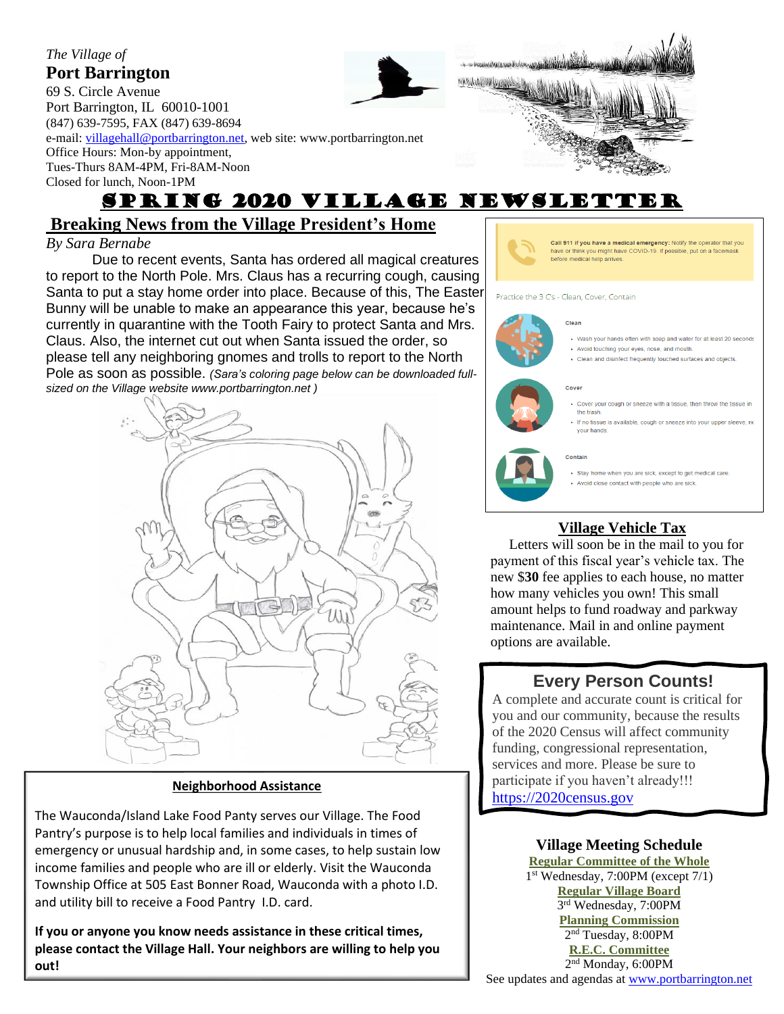### *The Village of* **Port Barrington**

69 S. Circle Avenue Port Barrington, IL 60010-1001 (847) 639-7595, FAX (847) 639-8694 e-mail: [villagehall@portbarrington.net,](mailto:villagehall@portbarrington.net) web site: www.portbarrington.net Office Hours: Mon-by appointment, Tues-Thurs 8AM-4PM, Fri-8AM-Noon Closed for lunch, Noon-1PM



# SPRING 2020 Village Newsletter

## **Breaking News from the Village President's Home**

## *By Sara Bernabe*

.

Due to recent events, Santa has ordered all magical creatures to report to the North Pole. Mrs. Claus has a recurring cough, causing Santa to put a stay home order into place. Because of this, The Easter Bunny will be unable to make an appearance this year, because he's currently in quarantine with the Tooth Fairy to protect Santa and Mrs. Claus. Also, the internet cut out when Santa issued the order, so please tell any neighboring gnomes and trolls to report to the North Pole as soon as possible. *(Sara's coloring page below can be downloaded fullsized on the Village website www.portbarrington.net )*



### **Neighborhood Assistance**

The Wauconda/Island Lake Food Panty serves our Village. The Food Pantry's purpose is to help local families and individuals in times of emergency or unusual hardship and, in some cases, to help sustain low income families and people who are ill or elderly. Visit the Wauconda Township Office at 505 East Bonner Road, Wauconda with a photo I.D. and utility bill to receive a Food Pantry I.D. card.

**If you or anyone you know needs assistance in these critical times, please contact the Village Hall. Your neighbors are willing to help you out!**



#### Practice the 3 C's - Clean, Cover, Contain

#### Clean



- Wash your hands often with soap and water for at least 20 seconds
- Avoid touching your eyes, nose, and mouth.
- Clean and disinfect frequently touched surfaces and objects.

#### Cover

- Cover your cough or sneeze with a tissue, then throw the tissue in the trash
- · If no tissue is available, cough or sneeze into your upper sleeve, no your hands.



- Stay home when you are sick, except to get medical care
- . Avoid close contact with people who are sick.

## **Village Vehicle Tax**

 Letters will soon be in the mail to you for payment of this fiscal year's vehicle tax. The new \$**30** fee applies to each house, no matter how many vehicles you own! This small amount helps to fund roadway and parkway maintenance. Mail in and online payment options are available.

## **Every Person Counts!**

A complete and accurate count is critical for you and our community, because the results of the 2020 Census will affect community funding, congressional representation, services and more. Please be sure to participate if you haven't already!!! [https://2020census.gov](https://2020census.gov/)

### **Village Meeting Schedule Regular Committee of the Whole**

 $\overbrace{\hspace{15em}}$   $\overbrace{\hspace{15em}}$ 

1 st Wednesday, 7:00PM (except 7/1) **Regular Village Board** 3 rd Wednesday, 7:00PM **Planning Commission** 2 nd Tuesday, 8:00PM **R.E.C. Committee** 2<sup>nd</sup> Monday, 6:00PM

See updates and agendas at [www.portbarrington.net](http://www.portbarrington.net/)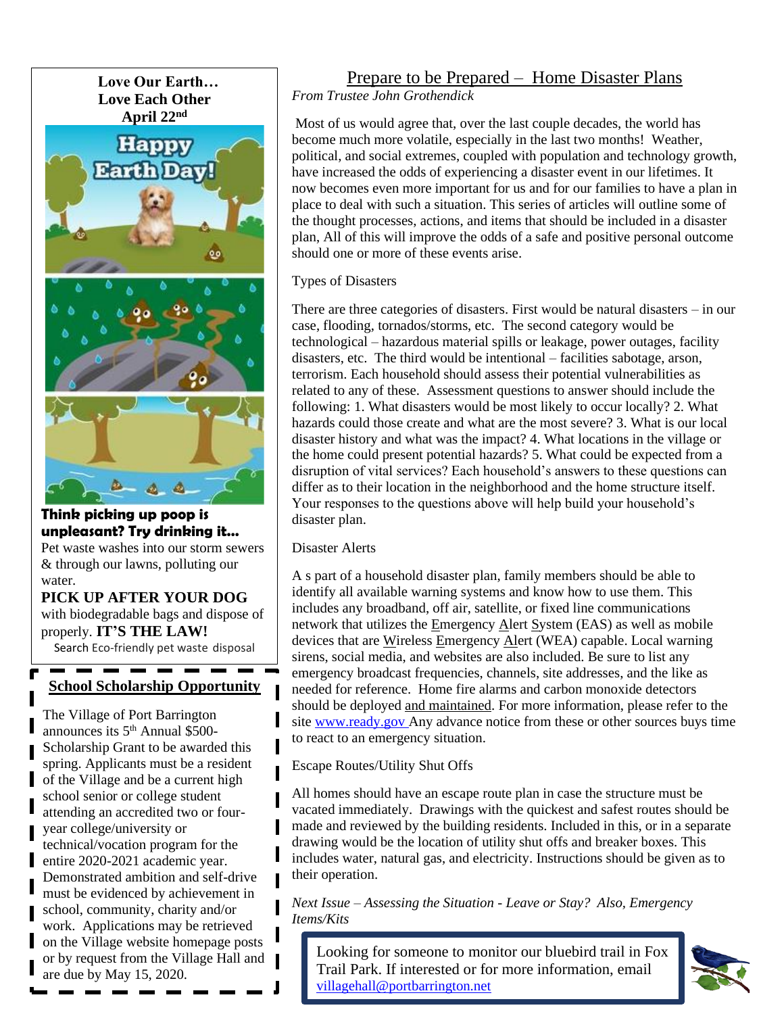

**Think picking up poop is unpleasant? Try drinking it…** Pet waste washes into our storm sewers & through our lawns, polluting our water.

**PICK UP AFTER YOUR DOG** with biodegradable bags and dispose of properly. **IT'S THE LAW!** Search Eco-friendly pet waste disposal

## **School Scholarship Opportunity**

The Village of Port Barrington announces its 5<sup>th</sup> Annual \$500-Scholarship Grant to be awarded this spring. Applicants must be a resident of the Village and be a current high school senior or college student attending an accredited two or fouryear college/university or technical/vocation program for the entire 2020-2021 academic year. Demonstrated ambition and self-drive must be evidenced by achievement in school, community, charity and/or work. Applications may be retrieved on the Village website homepage posts or by request from the Village Hall and are due by May 15, 2020.

## Prepare to be Prepared – Home Disaster Plans

*From Trustee John Grothendick* 

Most of us would agree that, over the last couple decades, the world has become much more volatile, especially in the last two months! Weather, political, and social extremes, coupled with population and technology growth, have increased the odds of experiencing a disaster event in our lifetimes. It now becomes even more important for us and for our families to have a plan in place to deal with such a situation. This series of articles will outline some of the thought processes, actions, and items that should be included in a disaster plan, All of this will improve the odds of a safe and positive personal outcome should one or more of these events arise.

Types of Disasters

There are three categories of disasters. First would be natural disasters – in our case, flooding, tornados/storms, etc. The second category would be technological – hazardous material spills or leakage, power outages, facility disasters, etc. The third would be intentional – facilities sabotage, arson, terrorism. Each household should assess their potential vulnerabilities as related to any of these. Assessment questions to answer should include the following: 1. What disasters would be most likely to occur locally? 2. What hazards could those create and what are the most severe? 3. What is our local disaster history and what was the impact? 4. What locations in the village or the home could present potential hazards? 5. What could be expected from a disruption of vital services? Each household's answers to these questions can differ as to their location in the neighborhood and the home structure itself. Your responses to the questions above will help build your household's disaster plan.

Disaster Alerts

A s part of a household disaster plan, family members should be able to identify all available warning systems and know how to use them. This includes any broadband, off air, satellite, or fixed line communications network that utilizes the Emergency Alert System (EAS) as well as mobile devices that are Wireless Emergency Alert (WEA) capable. Local warning sirens, social media, and websites are also included. Be sure to list any emergency broadcast frequencies, channels, site addresses, and the like as needed for reference. Home fire alarms and carbon monoxide detectors should be deployed and maintained. For more information, please refer to the site [www.ready.gov](http://www.ready.gov/) Any advance notice from these or other sources buys time to react to an emergency situation.

Escape Routes/Utility Shut Offs

All homes should have an escape route plan in case the structure must be vacated immediately. Drawings with the quickest and safest routes should be made and reviewed by the building residents. Included in this, or in a separate drawing would be the location of utility shut offs and breaker boxes. This includes water, natural gas, and electricity. Instructions should be given as to their operation.

*Next Issue – Assessing the Situation - Leave or Stay? Also, Emergency Items/Kits*

Looking for someone to monitor our bluebird trail in Fox Trail Park. If interested or for more information, email [villagehall@portbarrington.net](mailto:villagehall@portbarrington.net)

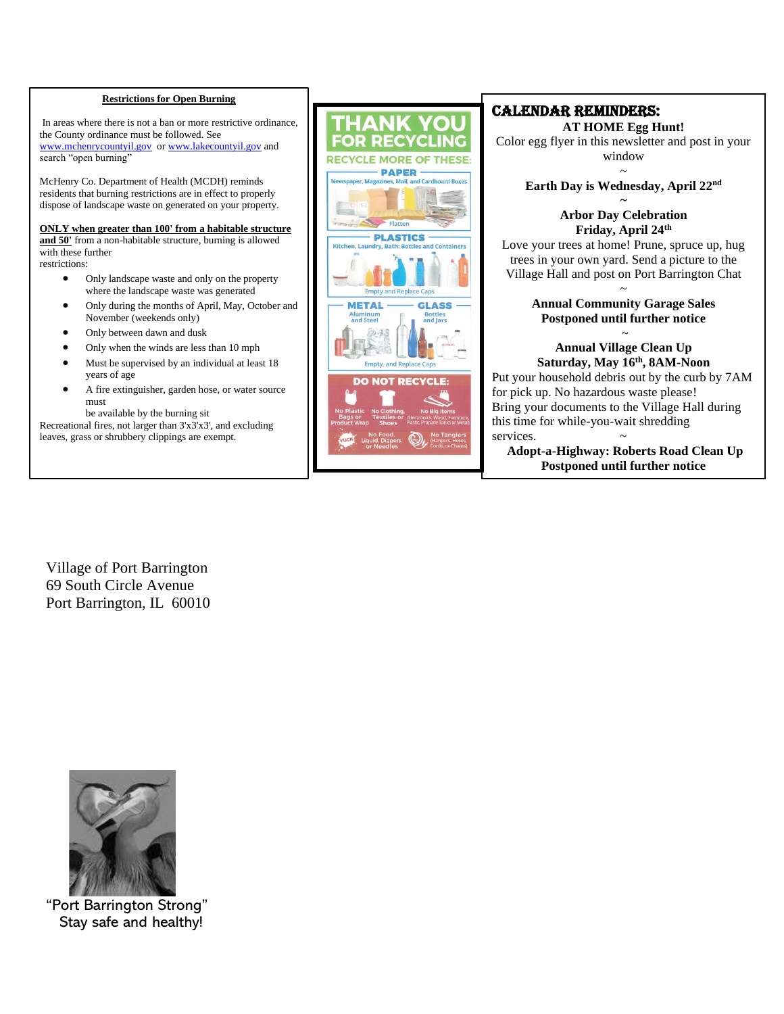#### **Restrictions for Open Burning**

In areas where there is not a ban or more restrictive ordinance, the County ordinance must be followed. See [www.mchenrycountyil.gov](http://www.mchenrycountyil.gov/) o[r www.lakecountyil.gov](http://www.lakecountyil.gov/) and search "open burning"

McHenry Co. Department of Health (MCDH) reminds residents that burning restrictions are in effect to properly dispose of landscape waste on generated on your property.

**ONLY when greater than 100' from a habitable structure** 

**and 50'** from a non-habitable structure, burning is allowed with these further restrictions:

- Only landscape waste and only on the property where the landscape waste was generated
- Only during the months of April, May, October and November (weekends only)
- Only between dawn and dusk
- Only when the winds are less than 10 mph
- Must be supervised by an individual at least 18 years of age
- A fire extinguisher, garden hose, or water source must
	- be available by the burning sit

 Recreational fires, not larger than 3'x3'x3', and excluding leaves, grass or shrubbery clippings are exempt.



### CALENDAR REMINDERS:

**AT HOME Egg Hunt!** Color egg flyer in this newsletter and post in your window

### ~ **Earth Day is Wednesday, April 22nd**

#### **~ Arbor Day Celebration Friday, April 24th**

Love your trees at home! Prune, spruce up, hug trees in your own yard. Send a picture to the Village Hall and post on Port Barrington Chat

### ~ **Annual Community Garage Sales Postponed until further notice**

## ~ **Annual Village Clean Up Saturday, May 16 th, 8AM-Noon**

Put your household debris out by the curb by 7AM for pick up. No hazardous waste please! Bring your documents to the Village Hall during this time for while-you-wait shredding services.

**Adopt-a-Highway: Roberts Road Clean Up Postponed until further notice**

Village of Port Barrington 69 South Circle Avenue Port Barrington, IL 60010



"Port Barrington Strong" Stay safe and healthy!